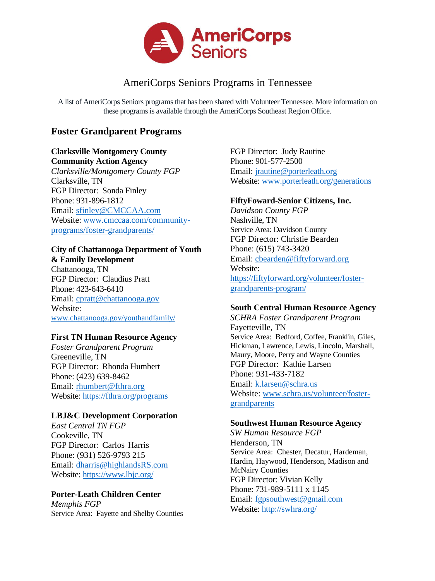

# AmeriCorps Seniors Programs in Tennessee

A list of AmeriCorps Seniors programsthat has been shared with Volunteer Tennessee. More information on these programs is available through the AmeriCorps Southeast Region Office.

# **Foster Grandparent Programs**

### **Clarksville Montgomery County Community Action Agency**

*Clarksville/Montgomery County FGP* Clarksville, TN FGP Director: Sonda Finley Phone: 931-896-1812 Email: [sfinley@CMCCAA.com](mailto:sfinley@CMCCAA.com) Website: [www.cmccaa.com/community](http://www.cmccaa.com/community-programs/foster-grandparents/)[programs/foster-grandparents/](http://www.cmccaa.com/community-programs/foster-grandparents/)

#### **City of Chattanooga Department of Youth & Family Development**

Chattanooga, TN FGP Director: Claudius Pratt Phone: 423-643-6410 Email: [cpratt@chattanooga.gov](mailto:cpratt@chattanooga.gov) Website: [www.chattanooga.gov/youthandfamily/](http://www.chattanooga.gov/youthandfamily/)

#### **First TN Human Resource Agency**

*Foster Grandparent Program* Greeneville, TN FGP Director: Rhonda Humbert Phone: (423) 639-8462 Email: [rhumbert@fthra.org](mailto:rhumbert@fthra.org) Website: <https://fthra.org/programs>

#### **LBJ&C Development Corporation**

*East Central TN FGP* Cookeville, TN FGP Director: Carlos Harris Phone: (931) 526-9793 215 Email: [dharris@highlandsRS.com](mailto:dharris@highlandsRS.com) Website: <https://www.lbjc.org/>

#### **Porter-Leath Children Center**

*Memphis FGP* Service Area: Fayette and Shelby Counties FGP Director: Judy Rautine Phone: 901-577-2500 Email: [jrautine@porterleath.org](mailto:jrautine@porterleath.org) Website: [www.porterleath.org/generations](http://www.porterleath.org/generations)

#### **FiftyFoward**-**Senior Citizens, Inc.**

*Davidson County FGP* Nashville, TN Service Area: Davidson County FGP Director: Christie Bearden Phone: (615) 743-3420 Email: [cbearden@fiftyforward.org](mailto:cbearden@fiftyforward.org) Website: [https://fiftyforward.org/volunteer/foster](https://fiftyforward.org/volunteer/foster-grandparents-program/)[grandparents-program/](https://fiftyforward.org/volunteer/foster-grandparents-program/)

#### **South Central Human Resource Agency**

*SCHRA Foster Grandparent Program* Fayetteville, TN Service Area: Bedford, Coffee, Franklin, Giles, Hickman, Lawrence, Lewis, Lincoln, Marshall, Maury, Moore, Perry and Wayne Counties FGP Director: Kathie Larsen Phone: 931-433-7182 Email: [k.larsen@schra.us](mailto:k.larsen@schra.us) Website: [www.schra.us/volunteer/foster](https://www.schra.us/volunteer/foster-grandparents)[grandparents](https://www.schra.us/volunteer/foster-grandparents)

#### **Southwest Human Resource Agency**

*SW Human Resource FGP* Henderson, TN Service Area: Chester, Decatur, Hardeman, Hardin, Haywood, Henderson, Madison and McNairy Counties FGP Director: Vivian Kelly Phone: 731-989-5111 x 1145 Email: [fgpsouthwest@gmail.com](mailto:fgpsouthwest@gmail.com) Website: http://swhra.org/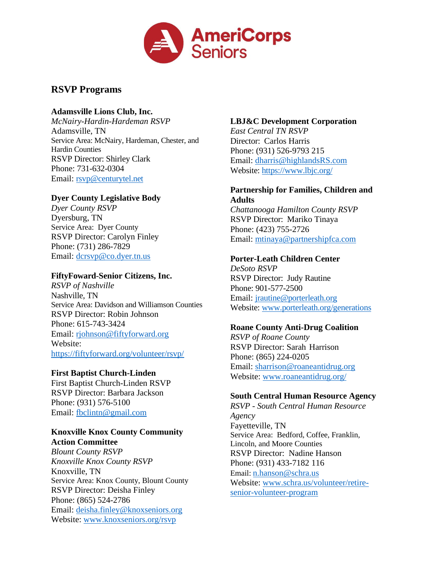

# **RSVP Programs**

#### **Adamsville Lions Club, Inc.**

*McNairy-Hardin-Hardeman RSVP* Adamsville, TN Service Area: McNairy, Hardeman, Chester, and Hardin Counties RSVP Director: Shirley Clark Phone: 731-632-0304 Email: [rsvp@centurytel.net](mailto:rsvp@centurytel.net)

### **Dyer County Legislative Body**

*Dyer County RSVP* Dyersburg, TN Service Area: Dyer County RSVP Director: Carolyn Finley Phone: (731) 286-7829 Email: [dcrsvp@co.dyer.tn.us](mailto:dcrsvp@co.dyer.tn.us)

#### **FiftyFoward**-**Senior Citizens, Inc.**

*RSVP of Nashville* Nashville, TN Service Area: Davidson and Williamson Counties RSVP Director: Robin Johnson Phone: 615-743-3424 Email: [rjohnson@fiftyforward.org](mailto:rjohnson@fiftyforward.org) Website: <https://fiftyforward.org/volunteer/rsvp/>

#### **First Baptist Church-Linden**

First Baptist Church-Linden RSVP RSVP Director: Barbara Jackson Phone: (931) 576-5100 Email: [fbclintn@gmail.com](mailto:fbclintn@gmail.com)

#### **Knoxville Knox County Community Action Committee**

*Blount County RSVP Knoxville Knox County RSVP* Knoxville, TN Service Area: Knox County, Blount County RSVP Director: Deisha Finley Phone: (865) 524-2786 Email: [deisha.finley@knoxseniors.org](mailto:deisha.finley@knoxseniors.org) Website: [www.knoxseniors.org/rsvp](http://www.knoxseniors.org/rsvp)

### **LBJ&C Development Corporation**

*East Central TN RSVP* Director: Carlos Harris Phone: (931) 526-9793 215 Email: [dharris@highlandsRS.com](mailto:dharris@highlandsRS.com) Website: <https://www.lbjc.org/>

#### **Partnership for Families, Children and Adults**

*Chattanooga Hamilton County RSVP* RSVP Director: Mariko Tinaya Phone: (423) 755-2726 Email: [mtinaya@partnershipfca.com](mailto:mtinaya@partnershipfca.com)

### **Porter-Leath Children Center**

*DeSoto RSVP* RSVP Director: Judy Rautine Phone: 901-577-2500 Email: [jrautine@porterleath.org](mailto:jrautine@porterleath.org) Website: [www.porterleath.org/generations](http://www.porterleath.org/generations)

#### **Roane County Anti-Drug Coalition**

*RSVP of Roane County* RSVP Director: Sarah Harrison Phone: (865) 224-0205 Email: [sharrison@roaneantidrug.org](mailto:sharrison@roaneantidrug.org) Website: [www.roaneantidrug.org/](http://www.roaneantidrug.org/)

#### **South Central Human Resource Agency**

*RSVP - South Central Human Resource Agency* Fayetteville, TN Service Area: Bedford, Coffee, Franklin, Lincoln, and Moore Counties RSVP Director: Nadine Hanson Phone: (931) 433-7182 116 Email: [n.hanson@schra.us](mailto:n.hanson@schra.us) Website: [www.schra.us/volunteer/retire](http://www.schra.us/volunteer/retire-senior-volunteer-program)[senior-volunteer-program](http://www.schra.us/volunteer/retire-senior-volunteer-program)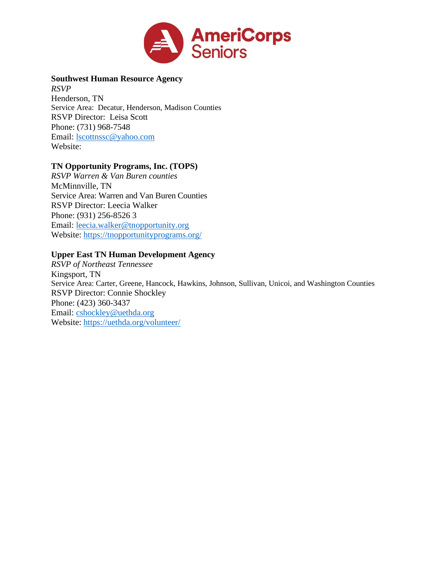

**Southwest Human Resource Agency** *RSVP* Henderson, TN Service Area: Decatur, Henderson, Madison Counties RSVP Director: Leisa Scott Phone: (731) 968-7548 Email: [lscottnssc@yahoo.com](mailto:lscottnssc@yahoo.com) Website:

## **TN Opportunity Programs, Inc. (TOPS)**

*RSVP Warren & Van Buren counties* McMinnville, TN Service Area: Warren and Van Buren Counties RSVP Director: Leecia Walker Phone: (931) 256-8526 3 Email: [leecia.walker@tnopportunity.org](mailto:leecia.walker@tnopportunity.org) Website: <https://tnopportunityprograms.org/>

#### **Upper East TN Human Development Agency**

*RSVP of Northeast Tennessee* Kingsport, TN Service Area: Carter, Greene, Hancock, Hawkins, Johnson, Sullivan, Unicoi, and Washington Counties RSVP Director: Connie Shockley Phone: (423) 360-3437 Email: [cshockley@uethda.org](mailto:cshockley@uethda.org) Website: <https://uethda.org/volunteer/>